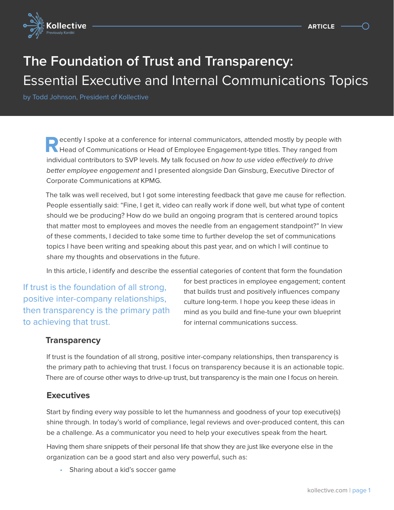

# **The Foundation of Trust and Transparency:**  Essential Executive and Internal Communications Topics

by Todd Johnson, President of Kollective

**R**ecently I spoke at a conference for internal communicators, attended mostly by people with **Head of Communications or Head of Employee Engagement-type titles. They ranged from** individual contributors to SVP levels. My talk focused on how to use video effectively to drive better employee engagement and I presented alongside Dan Ginsburg, Executive Director of Corporate Communications at KPMG.

The talk was well received, but I got some interesting feedback that gave me cause for reflection. People essentially said: "Fine, I get it, video can really work if done well, but what type of content should we be producing? How do we build an ongoing program that is centered around topics that matter most to employees and moves the needle from an engagement standpoint?" In view of these comments, I decided to take some time to further develop the set of communications topics I have been writing and speaking about this past year, and on which I will continue to share my thoughts and observations in the future.

In this article, I identify and describe the essential categories of content that form the foundation

If trust is the foundation of all strong, positive inter-company relationships, then transparency is the primary path to achieving that trust.

for best practices in employee engagement; content that builds trust and positively influences company culture long-term. I hope you keep these ideas in mind as you build and fine-tune your own blueprint for internal communications success.

#### **Transparency**

If trust is the foundation of all strong, positive inter-company relationships, then transparency is the primary path to achieving that trust. I focus on transparency because it is an actionable topic. There are of course other ways to drive-up trust, but transparency is the main one I focus on herein.

#### **Executives**

Start by finding every way possible to let the humanness and goodness of your top executive(s) shine through. In today's world of compliance, legal reviews and over-produced content, this can be a challenge. As a communicator you need to help your executives speak from the heart.

Having them share snippets of their personal life that show they are just like everyone else in the organization can be a good start and also very powerful, such as:

• Sharing about a kid's soccer game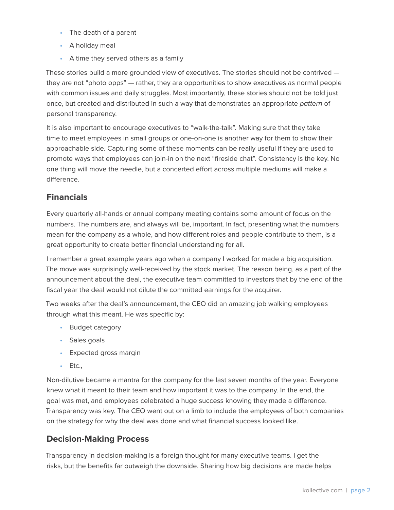- The death of a parent
- A holiday meal
- A time they served others as a family

These stories build a more grounded view of executives. The stories should not be contrived they are not "photo opps" — rather, they are opportunities to show executives as normal people with common issues and daily struggles. Most importantly, these stories should not be told just once, but created and distributed in such a way that demonstrates an appropriate pattern of personal transparency.

It is also important to encourage executives to "walk-the-talk". Making sure that they take time to meet employees in small groups or one-on-one is another way for them to show their approachable side. Capturing some of these moments can be really useful if they are used to promote ways that employees can join-in on the next "fireside chat". Consistency is the key. No one thing will move the needle, but a concerted effort across multiple mediums will make a difference.

## **Financials**

Every quarterly all-hands or annual company meeting contains some amount of focus on the numbers. The numbers are, and always will be, important. In fact, presenting what the numbers mean for the company as a whole, and how different roles and people contribute to them, is a great opportunity to create better financial understanding for all.

I remember a great example years ago when a company I worked for made a big acquisition. The move was surprisingly well-received by the stock market. The reason being, as a part of the announcement about the deal, the executive team committed to investors that by the end of the fiscal year the deal would not dilute the committed earnings for the acquirer.

Two weeks after the deal's announcement, the CEO did an amazing job walking employees through what this meant. He was specific by:

- Budget category
- Sales goals
- Expected gross margin
- Etc.,

Non-dilutive became a mantra for the company for the last seven months of the year. Everyone knew what it meant to their team and how important it was to the company. In the end, the goal was met, and employees celebrated a huge success knowing they made a difference. Transparency was key. The CEO went out on a limb to include the employees of both companies on the strategy for why the deal was done and what financial success looked like.

#### **Decision-Making Process**

Transparency in decision-making is a foreign thought for many executive teams. I get the risks, but the benefits far outweigh the downside. Sharing how big decisions are made helps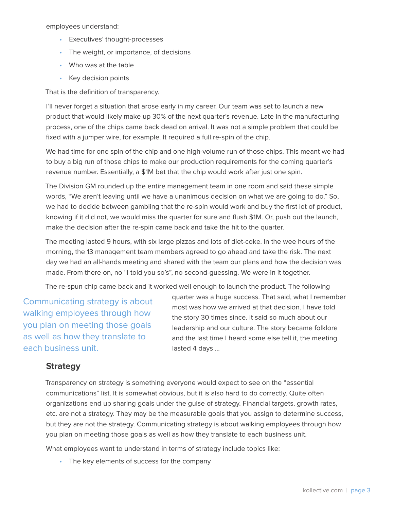employees understand:

- Executives' thought-processes
- The weight, or importance, of decisions
- Who was at the table
- Key decision points

That is the definition of transparency.

I'll never forget a situation that arose early in my career. Our team was set to launch a new product that would likely make up 30% of the next quarter's revenue. Late in the manufacturing process, one of the chips came back dead on arrival. It was not a simple problem that could be fixed with a jumper wire, for example. It required a full re-spin of the chip.

We had time for one spin of the chip and one high-volume run of those chips. This meant we had to buy a big run of those chips to make our production requirements for the coming quarter's revenue number. Essentially, a \$1M bet that the chip would work after just one spin.

The Division GM rounded up the entire management team in one room and said these simple words, "We aren't leaving until we have a unanimous decision on what we are going to do." So, we had to decide between gambling that the re-spin would work and buy the first lot of product, knowing if it did not, we would miss the quarter for sure and flush \$1M. Or, push out the launch, make the decision after the re-spin came back and take the hit to the quarter.

The meeting lasted 9 hours, with six large pizzas and lots of diet-coke. In the wee hours of the morning, the 13 management team members agreed to go ahead and take the risk. The next day we had an all-hands meeting and shared with the team our plans and how the decision was made. From there on, no "I told you so's", no second-guessing. We were in it together.

The re-spun chip came back and it worked well enough to launch the product. The following

Communicating strategy is about walking employees through how you plan on meeting those goals as well as how they translate to each business unit.

quarter was a huge success. That said, what I remember most was how we arrived at that decision. I have told the story 30 times since. It said so much about our leadership and our culture. The story became folklore and the last time I heard some else tell it, the meeting lasted 4 days …

#### **Strategy**

Transparency on strategy is something everyone would expect to see on the "essential communications" list. It is somewhat obvious, but it is also hard to do correctly. Quite often organizations end up sharing goals under the guise of strategy. Financial targets, growth rates, etc. are not a strategy. They may be the measurable goals that you assign to determine success, but they are not the strategy. Communicating strategy is about walking employees through how you plan on meeting those goals as well as how they translate to each business unit.

What employees want to understand in terms of strategy include topics like:

• The key elements of success for the company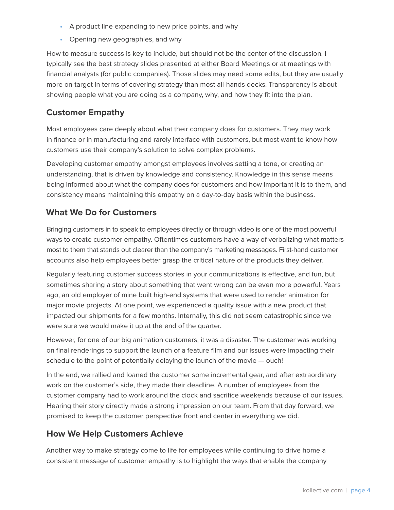- A product line expanding to new price points, and why
- Opening new geographies, and why

How to measure success is key to include, but should not be the center of the discussion. I typically see the best strategy slides presented at either Board Meetings or at meetings with financial analysts (for public companies). Those slides may need some edits, but they are usually more on-target in terms of covering strategy than most all-hands decks. Transparency is about showing people what you are doing as a company, why, and how they fit into the plan.

# **Customer Empathy**

Most employees care deeply about what their company does for customers. They may work in finance or in manufacturing and rarely interface with customers, but most want to know how customers use their company's solution to solve complex problems.

Developing customer empathy amongst employees involves setting a tone, or creating an understanding, that is driven by knowledge and consistency. Knowledge in this sense means being informed about what the company does for customers and how important it is to them, and consistency means maintaining this empathy on a day-to-day basis within the business.

# **What We Do for Customers**

Bringing customers in to speak to employees directly or through video is one of the most powerful ways to create customer empathy. Oftentimes customers have a way of verbalizing what matters most to them that stands out clearer than the company's marketing messages. First-hand customer accounts also help employees better grasp the critical nature of the products they deliver.

Regularly featuring customer success stories in your communications is effective, and fun, but sometimes sharing a story about something that went wrong can be even more powerful. Years ago, an old employer of mine built high-end systems that were used to render animation for major movie projects. At one point, we experienced a quality issue with a new product that impacted our shipments for a few months. Internally, this did not seem catastrophic since we were sure we would make it up at the end of the quarter.

However, for one of our big animation customers, it was a disaster. The customer was working on final renderings to support the launch of a feature film and our issues were impacting their schedule to the point of potentially delaying the launch of the movie — ouch!

In the end, we rallied and loaned the customer some incremental gear, and after extraordinary work on the customer's side, they made their deadline. A number of employees from the customer company had to work around the clock and sacrifice weekends because of our issues. Hearing their story directly made a strong impression on our team. From that day forward, we promised to keep the customer perspective front and center in everything we did.

## **How We Help Customers Achieve**

Another way to make strategy come to life for employees while continuing to drive home a consistent message of customer empathy is to highlight the ways that enable the company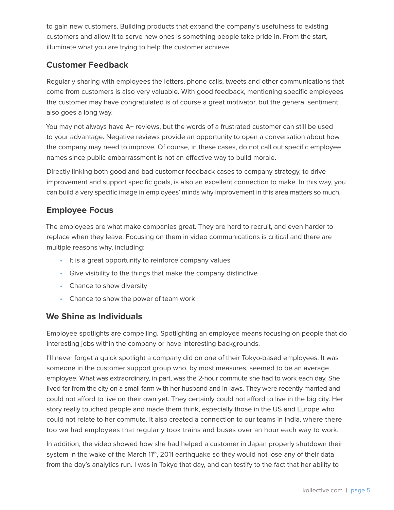to gain new customers. Building products that expand the company's usefulness to existing customers and allow it to serve new ones is something people take pride in. From the start, illuminate what you are trying to help the customer achieve.

# **Customer Feedback**

Regularly sharing with employees the letters, phone calls, tweets and other communications that come from customers is also very valuable. With good feedback, mentioning specific employees the customer may have congratulated is of course a great motivator, but the general sentiment also goes a long way.

You may not always have A+ reviews, but the words of a frustrated customer can still be used to your advantage. Negative reviews provide an opportunity to open a conversation about how the company may need to improve. Of course, in these cases, do not call out specific employee names since public embarrassment is not an effective way to build morale.

Directly linking both good and bad customer feedback cases to company strategy, to drive improvement and support specific goals, is also an excellent connection to make. In this way, you can build a very specific image in employees' minds why improvement in this area matters so much.

## **Employee Focus**

The employees are what make companies great. They are hard to recruit, and even harder to replace when they leave. Focusing on them in video communications is critical and there are multiple reasons why, including:

- It is a great opportunity to reinforce company values
- Give visibility to the things that make the company distinctive
- Chance to show diversity
- Chance to show the power of team work

#### **We Shine as Individuals**

Employee spotlights are compelling. Spotlighting an employee means focusing on people that do interesting jobs within the company or have interesting backgrounds.

I'll never forget a quick spotlight a company did on one of their Tokyo-based employees. It was someone in the customer support group who, by most measures, seemed to be an average employee. What was extraordinary, in part, was the 2-hour commute she had to work each day. She lived far from the city on a small farm with her husband and in-laws. They were recently married and could not afford to live on their own yet. They certainly could not afford to live in the big city. Her story really touched people and made them think, especially those in the US and Europe who could not relate to her commute. It also created a connection to our teams in India, where there too we had employees that regularly took trains and buses over an hour each way to work.

In addition, the video showed how she had helped a customer in Japan properly shutdown their system in the wake of the March 11<sup>th</sup>, 2011 earthquake so they would not lose any of their data from the day's analytics run. I was in Tokyo that day, and can testify to the fact that her ability to